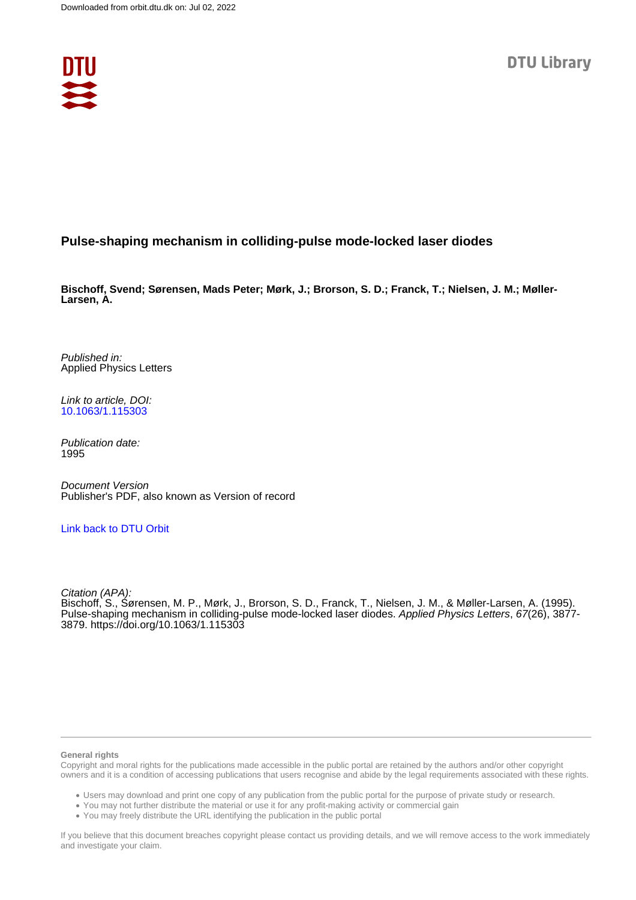

# **Pulse-shaping mechanism in colliding-pulse mode-locked laser diodes**

**Bischoff, Svend; Sørensen, Mads Peter; Mørk, J.; Brorson, S. D.; Franck, T.; Nielsen, J. M.; Møller-Larsen, A.**

Published in: Applied Physics Letters

Link to article, DOI: [10.1063/1.115303](https://doi.org/10.1063/1.115303)

Publication date: 1995

Document Version Publisher's PDF, also known as Version of record

### [Link back to DTU Orbit](https://orbit.dtu.dk/en/publications/b8eb0774-5703-4555-9367-d576cb11ac9a)

Citation (APA):

Bischoff, S., Sørensen, M. P., Mørk, J., Brorson, S. D., Franck, T., Nielsen, J. M., & Møller-Larsen, A. (1995). Pulse-shaping mechanism in colliding-pulse mode-locked laser diodes. Applied Physics Letters, 67(26), 3877-3879. <https://doi.org/10.1063/1.115303>

### **General rights**

Copyright and moral rights for the publications made accessible in the public portal are retained by the authors and/or other copyright owners and it is a condition of accessing publications that users recognise and abide by the legal requirements associated with these rights.

Users may download and print one copy of any publication from the public portal for the purpose of private study or research.

- You may not further distribute the material or use it for any profit-making activity or commercial gain
- You may freely distribute the URL identifying the publication in the public portal

If you believe that this document breaches copyright please contact us providing details, and we will remove access to the work immediately and investigate your claim.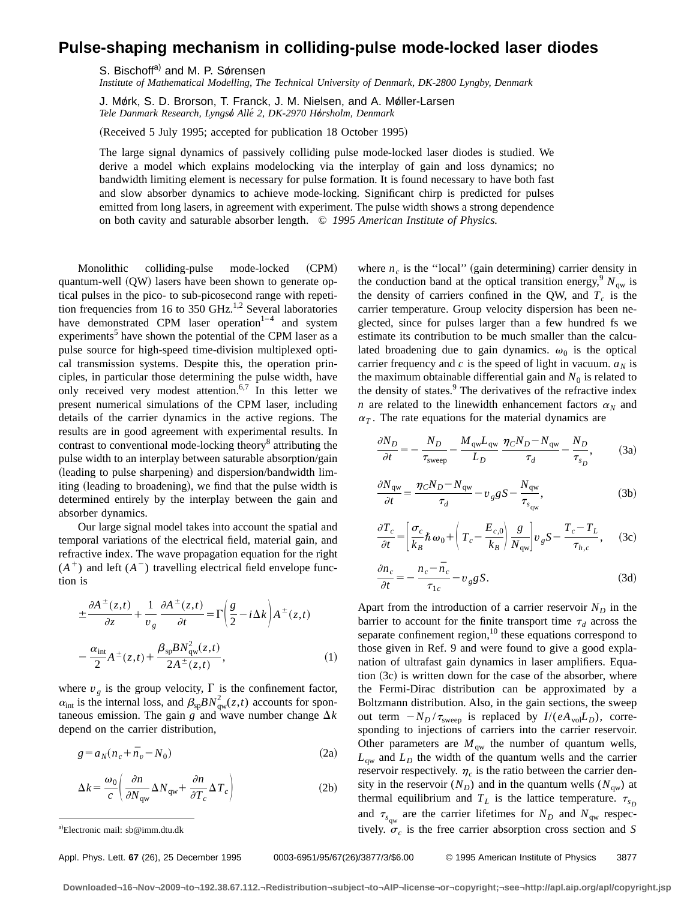# **Pulse-shaping mechanism in colliding-pulse mode-locked laser diodes**

S. Bischoff<sup>a)</sup> and M. P. Sørensen

*Institute of Mathematical Modelling, The Technical University of Denmark, DK-2800 Lyngby, Denmark*

J. Mørk, S. D. Brorson, T. Franck, J. M. Nielsen, and A. Møller-Larsen *Tele Danmark Research, Lyngso*" *Alle´ 2, DK-2970 Ho*"*rsholm, Denmark*

(Received 5 July 1995; accepted for publication 18 October 1995)

The large signal dynamics of passively colliding pulse mode-locked laser diodes is studied. We derive a model which explains modelocking via the interplay of gain and loss dynamics; no bandwidth limiting element is necessary for pulse formation. It is found necessary to have both fast and slow absorber dynamics to achieve mode-locking. Significant chirp is predicted for pulses emitted from long lasers, in agreement with experiment. The pulse width shows a strong dependence on both cavity and saturable absorber length. © *1995 American Institute of Physics.*

Monolithic colliding-pulse mode-locked (CPM) quantum-well  $(QW)$  lasers have been shown to generate optical pulses in the pico- to sub-picosecond range with repetition frequencies from 16 to 350 GHz.<sup>1,2</sup> Several laboratories have demonstrated CPM laser operation<sup>1-4</sup> and system experiments<sup>5</sup> have shown the potential of the CPM laser as a pulse source for high-speed time-division multiplexed optical transmission systems. Despite this, the operation principles, in particular those determining the pulse width, have only received very modest attention.<sup>6,7</sup> In this letter we present numerical simulations of the CPM laser, including details of the carrier dynamics in the active regions. The results are in good agreement with experimental results. In contrast to conventional mode-locking theory<sup>8</sup> attributing the pulse width to an interplay between saturable absorption/gain (leading to pulse sharpening) and dispersion/bandwidth limiting (leading to broadening), we find that the pulse width is determined entirely by the interplay between the gain and absorber dynamics.

Our large signal model takes into account the spatial and temporal variations of the electrical field, material gain, and refractive index. The wave propagation equation for the right  $(A^+)$  and left  $(A^-)$  travelling electrical field envelope function is

$$
\pm \frac{\partial A^{\pm}(z,t)}{\partial z} + \frac{1}{v_g} \frac{\partial A^{\pm}(z,t)}{\partial t} = \Gamma \left( \frac{g}{2} - i \Delta k \right) A^{\pm}(z,t)
$$

$$
- \frac{\alpha_{\text{int}}}{2} A^{\pm}(z,t) + \frac{\beta_{sp} B N_{qw}^{2}(z,t)}{2A^{\pm}(z,t)}, \tag{1}
$$

where  $v_g$  is the group velocity,  $\Gamma$  is the confinement factor,  $\alpha_{\text{int}}$  is the internal loss, and  $\beta_{\text{sp}} B N_{\text{qw}}^2(z,t)$  accounts for spontaneous emission. The gain *g* and wave number change  $\Delta k$ depend on the carrier distribution,

$$
g = a_N (n_c + \bar{n}_v - N_0) \tag{2a}
$$

$$
\Delta k = \frac{\omega_0}{c} \left( \frac{\partial n}{\partial N_{\rm gw}} \Delta N_{\rm gw} + \frac{\partial n}{\partial T_c} \Delta T_c \right) \tag{2b}
$$

where  $n_c$  is the "local" (gain determining) carrier density in the conduction band at the optical transition energy,  $N_{\text{gw}}$  is the density of carriers confined in the QW, and  $T_c$  is the carrier temperature. Group velocity dispersion has been neglected, since for pulses larger than a few hundred fs we estimate its contribution to be much smaller than the calculated broadening due to gain dynamics.  $\omega_0$  is the optical carrier frequency and  $c$  is the speed of light in vacuum.  $a<sub>N</sub>$  is the maximum obtainable differential gain and  $N_0$  is related to the density of states.<sup>9</sup> The derivatives of the refractive index *n* are related to the linewidth enhancement factors  $\alpha_N$  and  $\alpha_T$ . The rate equations for the material dynamics are

$$
\frac{\partial N_D}{\partial t} = -\frac{N_D}{\tau_{\text{sweep}}} - \frac{M_{\text{qw}} L_{\text{qw}}}{L_D} \frac{\eta_C N_D - N_{\text{qw}}}{\tau_d} - \frac{N_D}{\tau_{s_D}},\tag{3a}
$$

$$
\frac{\partial N_{\rm qw}}{\partial t} = \frac{\eta_C N_D - N_{\rm qw}}{\tau_d} - v_g g S - \frac{N_{\rm qw}}{\tau_{s_{\rm qw}}},\tag{3b}
$$

$$
\frac{\partial T_c}{\partial t} = \left[ \frac{\sigma_c}{k_B} \hbar \omega_0 + \left( T_c - \frac{E_{c,0}}{k_B} \right) \frac{g}{N_{\rm gw}} \right] v_g S - \frac{T_c - T_L}{\tau_{h,c}}, \quad (3c)
$$

$$
\frac{\partial n_c}{\partial t} = -\frac{n_c - \bar{n}_c}{\tau_{1c}} - v_g g S. \tag{3d}
$$

Apart from the introduction of a carrier reservoir  $N_D$  in the barrier to account for the finite transport time  $\tau_d$  across the separate confinement region,<sup>10</sup> these equations correspond to those given in Ref. 9 and were found to give a good explanation of ultrafast gain dynamics in laser amplifiers. Equation  $(3c)$  is written down for the case of the absorber, where the Fermi-Dirac distribution can be approximated by a Boltzmann distribution. Also, in the gain sections, the sweep out term  $-N_D/\tau_{\text{sweep}}$  is replaced by  $I/(eA_{\text{vol}}L_D)$ , corresponding to injections of carriers into the carrier reservoir. Other parameters are  $M_{\text{qw}}$  the number of quantum wells,  $L_{\text{aw}}$  and  $L_D$  the width of the quantum wells and the carrier reservoir respectively.  $\eta_c$  is the ratio between the carrier density in the reservoir  $(N_D)$  and in the quantum wells  $(N_{qw})$  at thermal equilibrium and  $T_L$  is the lattice temperature.  $\tau_{s_D}$ and  $\tau_{s_{\text{ow}}}$  are the carrier lifetimes for  $N_D$  and  $N_{\text{qw}}$  respectively.  $\sigma_c$  is the free carrier absorption cross section and *S* 

**Downloaded¬16¬Nov¬2009¬to¬192.38.67.112.¬Redistribution¬subject¬to¬AIP¬license¬or¬copyright;¬see¬http://apl.aip.org/apl/copyright.jsp**

Electronic mail: sb@imm.dtu.dk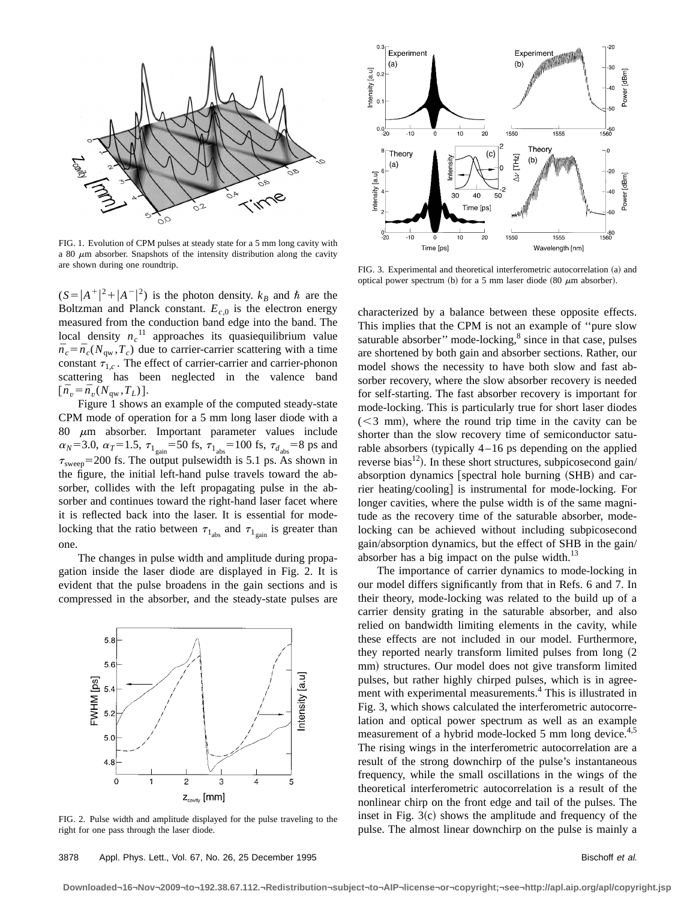

FIG. 1. Evolution of CPM pulses at steady state for a 5 mm long cavity with a 80  $\mu$ m absorber. Snapshots of the intensity distribution along the cavity are shown during one roundtrip.

 $(S = |A^+|^2 + |A^-|^2)$  is the photon density.  $k_B$  and  $\hbar$  are the Boltzman and Planck constant.  $E_{c,0}$  is the electron energy measured from the conduction band edge into the band. The local density  $n_c$ <sup>11</sup> approaches its quasiequilibrium value  $\bar{n}_c = \bar{n}_c(N_{\text{aw}}, T_c)$  due to carrier-carrier scattering with a time constant  $\tau_{1,c}$ . The effect of carrier-carrier and carrier-phonon scattering has been neglected in the valence band  $[\bar{n}_v = \bar{n}_v(N_{\rm gw}, T_L)].$ 

Figure 1 shows an example of the computed steady-state CPM mode of operation for a 5 mm long laser diode with a 80  $\mu$ m absorber. Important parameter values include  $\alpha_N = 3.0$ ,  $\alpha_T = 1.5$ ,  $\tau_{1_{\text{gain}}} = 50$  fs,  $\tau_{1_{\text{abs}}} = 100$  fs,  $\tau_{d_{\text{abs}}} = 8$  ps and  $\tau_{\text{sweep}}$ =200 fs. The output pulsewidth is 5.1 ps. As shown in the figure, the initial left-hand pulse travels toward the absorber, collides with the left propagating pulse in the absorber and continues toward the right-hand laser facet where it is reflected back into the laser. It is essential for modelocking that the ratio between  $\tau_{1_{\text{abs}}}$  and  $\tau_{1_{\text{gain}}}$  is greater than one.

The changes in pulse width and amplitude during propagation inside the laser diode are displayed in Fig. 2. It is evident that the pulse broadens in the gain sections and is compressed in the absorber, and the steady-state pulses are



FIG. 2. Pulse width and amplitude displayed for the pulse traveling to the right for one pass through the laser diode.



FIG. 3. Experimental and theoretical interferometric autocorrelation (a) and optical power spectrum (b) for a 5 mm laser diode (80  $\mu$ m absorber).

characterized by a balance between these opposite effects. This implies that the CPM is not an example of ''pure slow saturable absorber" mode-locking, $\frac{8}{3}$  since in that case, pulses are shortened by both gain and absorber sections. Rather, our model shows the necessity to have both slow and fast absorber recovery, where the slow absorber recovery is needed for self-starting. The fast absorber recovery is important for mode-locking. This is particularly true for short laser diodes  $(< 3$  mm), where the round trip time in the cavity can be shorter than the slow recovery time of semiconductor saturable absorbers (typically  $4 - 16$  ps depending on the applied reverse bias<sup>12</sup>). In these short structures, subpicosecond gain/ absorption dynamics  $[spectral hole burning (SHB) and car$ rier heating/cooling] is instrumental for mode-locking. For longer cavities, where the pulse width is of the same magnitude as the recovery time of the saturable absorber, modelocking can be achieved without including subpicosecond gain/absorption dynamics, but the effect of SHB in the gain/ absorber has a big impact on the pulse width. $^{13}$ 

The importance of carrier dynamics to mode-locking in our model differs significantly from that in Refs. 6 and 7. In their theory, mode-locking was related to the build up of a carrier density grating in the saturable absorber, and also relied on bandwidth limiting elements in the cavity, while these effects are not included in our model. Furthermore, they reported nearly transform limited pulses from long  $(2)$ mm) structures. Our model does not give transform limited pulses, but rather highly chirped pulses, which is in agreement with experimental measurements.4 This is illustrated in Fig. 3, which shows calculated the interferometric autocorrelation and optical power spectrum as well as an example measurement of a hybrid mode-locked 5 mm long device.<sup>4,5</sup> The rising wings in the interferometric autocorrelation are a result of the strong downchirp of the pulse's instantaneous frequency, while the small oscillations in the wings of the theoretical interferometric autocorrelation is a result of the nonlinear chirp on the front edge and tail of the pulses. The inset in Fig.  $3(c)$  shows the amplitude and frequency of the pulse. The almost linear downchirp on the pulse is mainly a

### 3878 Appl. Phys. Lett., Vol. 67, No. 26, 25 December 1995 Bischoff et al.

**Downloaded¬16¬Nov¬2009¬to¬192.38.67.112.¬Redistribution¬subject¬to¬AIP¬license¬or¬copyright;¬see¬http://apl.aip.org/apl/copyright.jsp**